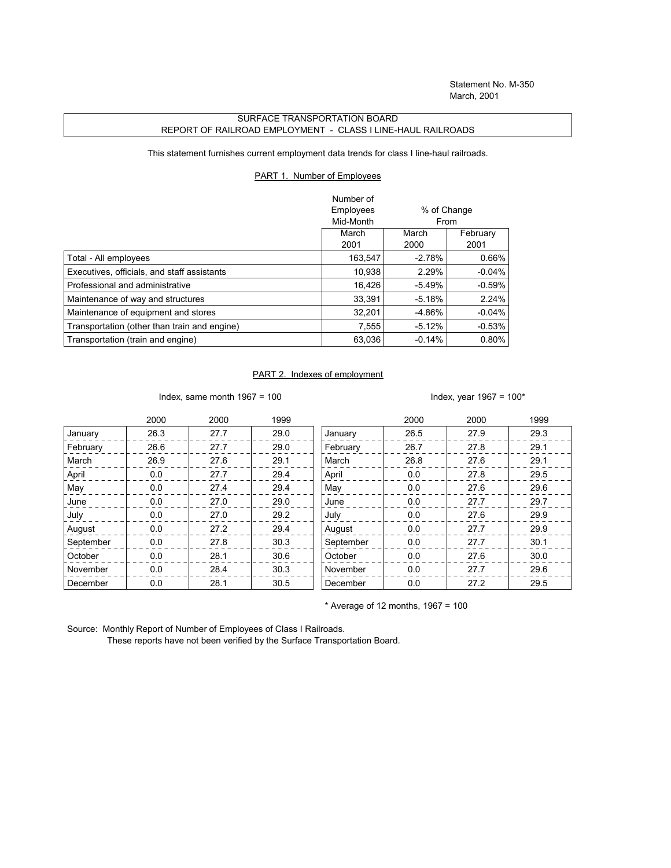## SURFACE TRANSPORTATION BOARD REPORT OF RAILROAD EMPLOYMENT - CLASS I LINE-HAUL RAILROADS

This statement furnishes current employment data trends for class I line-haul railroads.

## PART 1. Number of Employees

|                                              | Number of |             |          |
|----------------------------------------------|-----------|-------------|----------|
|                                              | Employees | % of Change |          |
|                                              | Mid-Month | From        |          |
|                                              | March     | March       | February |
|                                              | 2001      | 2000        | 2001     |
| Total - All employees                        | 163,547   | $-2.78%$    | 0.66%    |
| Executives, officials, and staff assistants  | 10,938    | 2.29%       | $-0.04%$ |
| Professional and administrative              | 16.426    | $-5.49%$    | $-0.59%$ |
| Maintenance of way and structures            | 33.391    | $-5.18%$    | 2.24%    |
| Maintenance of equipment and stores          | 32,201    | -4.86%      | $-0.04%$ |
| Transportation (other than train and engine) | 7,555     | $-5.12%$    | $-0.53%$ |
| Transportation (train and engine)            | 63,036    | $-0.14%$    | 0.80%    |

## PART 2. Indexes of employment

Index, same month 1967 = 100  $\blacksquare$ 

|           | 2000 | 2000 | 1999 |           | 2000 | 2000 | 1999 |
|-----------|------|------|------|-----------|------|------|------|
| January   | 26.3 | 27.7 | 29.0 | January   | 26.5 | 27.9 | 29.3 |
| February  | 26.6 | 27.7 | 29.0 | February  | 26.7 | 27.8 | 29.1 |
| March     | 26.9 | 27.6 | 29.1 | March     | 26.8 | 27.6 | 29.1 |
| April     | 0.0  | 27.7 | 29.4 | April     | 0.0  | 27.8 | 29.5 |
| May       | 0.0  | 27.4 | 29.4 | May       | 0.0  | 27.6 | 29.6 |
| June      | 0.0  | 27.0 | 29.0 | June      | 0.0  | 27.7 | 29.7 |
| July      | 0.0  | 27.0 | 29.2 | July      | 0.0  | 27.6 | 29.9 |
| August    | 0.0  | 27.2 | 29.4 | August    | 0.0  | 27.7 | 29.9 |
| September | 0.0  | 27.8 | 30.3 | September | 0.0  | 27.7 | 30.1 |
| October   | 0.0  | 28.1 | 30.6 | October   | 0.0  | 27.6 | 30.0 |
| November  | 0.0  | 28.4 | 30.3 | November  | 0.0  | 27.7 | 29.6 |
| December  | 0.0  | 28.1 | 30.5 | December  | 0.0  | 27.2 | 29.5 |

 $*$  Average of 12 months, 1967 = 100

Source: Monthly Report of Number of Employees of Class I Railroads.

These reports have not been verified by the Surface Transportation Board.